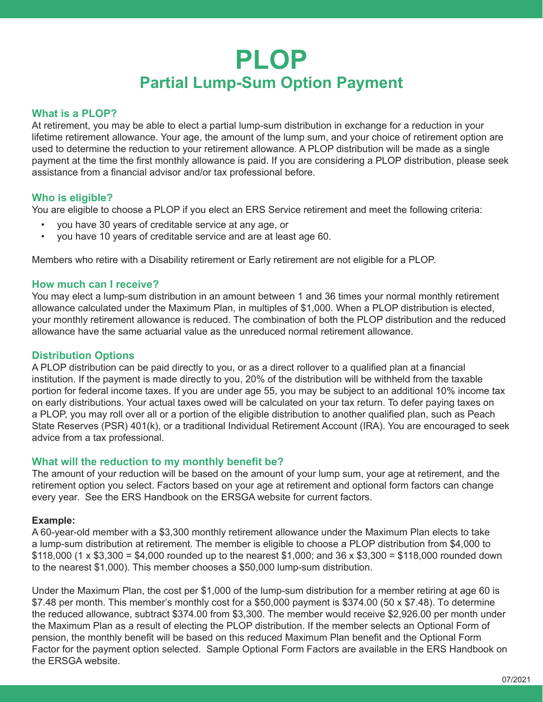# **PLOP Partial Lump-Sum Option Payment**

# **What is a PLOP?**

At retirement, you may be able to elect a partial lump-sum distribution in exchange for a reduction in your lifetime retirement allowance. Your age, the amount of the lump sum, and your choice of retirement option are used to determine the reduction to your retirement allowance. A PLOP distribution will be made as a single payment at the time the first monthly allowance is paid. If you are considering a PLOP distribution, please seek assistance from a financial advisor and/or tax professional before.

# **Who is eligible?**

You are eligible to choose a PLOP if you elect an ERS Service retirement and meet the following criteria:

- you have 30 years of creditable service at any age, or
- you have 10 years of creditable service and are at least age 60.

Members who retire with a Disability retirement or Early retirement are not eligible for a PLOP.

# **How much can I receive?**

You may elect a lump-sum distribution in an amount between 1 and 36 times your normal monthly retirement allowance calculated under the Maximum Plan, in multiples of \$1,000. When a PLOP distribution is elected, your monthly retirement allowance is reduced. The combination of both the PLOP distribution and the reduced allowance have the same actuarial value as the unreduced normal retirement allowance.

### **Distribution Options**

A PLOP distribution can be paid directly to you, or as a direct rollover to a qualified plan at a financial institution. If the payment is made directly to you, 20% of the distribution will be withheld from the taxable portion for federal income taxes. If you are under age 55, you may be subject to an additional 10% income tax on early distributions. Your actual taxes owed will be calculated on your tax return. To defer paying taxes on a PLOP, you may roll over all or a portion of the eligible distribution to another qualified plan, such as Peach State Reserves (PSR) 401(k), or a traditional Individual Retirement Account (IRA). You are encouraged to seek advice from a tax professional.

#### **What will the reduction to my monthly benefit be?**

The amount of your reduction will be based on the amount of your lump sum, your age at retirement, and the retirement option you select. Factors based on your age at retirement and optional form factors can change every year. See the ERS Handbook on the ERSGA website for current factors.

#### **Example:**

A 60-year-old member with a \$3,300 monthly retirement allowance under the Maximum Plan elects to take a lump-sum distribution at retirement. The member is eligible to choose a PLOP distribution from \$4,000 to  $$118,000$  (1 x  $$3,300 = $4,000$  rounded up to the nearest \$1,000; and 36 x \$3,300 = \$118,000 rounded down to the nearest \$1,000). This member chooses a \$50,000 lump-sum distribution.

Under the Maximum Plan, the cost per \$1,000 of the lump-sum distribution for a member retiring at age 60 is \$7.48 per month. This member's monthly cost for a \$50,000 payment is \$374.00 (50 x \$7.48). To determine the reduced allowance, subtract \$374.00 from \$3,300. The member would receive \$2,926.00 per month under the Maximum Plan as a result of electing the PLOP distribution. If the member selects an Optional Form of pension, the monthly benefit will be based on this reduced Maximum Plan benefit and the Optional Form Factor for the payment option selected. Sample Optional Form Factors are available in the ERS Handbook on the ERSGA website.